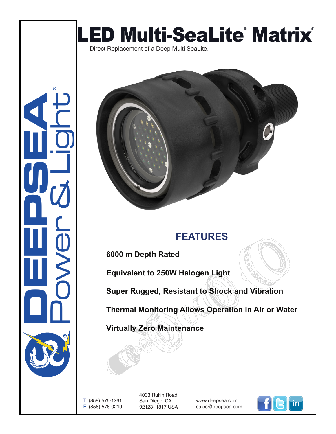



## **FEATURES**

**6000 m Depth Rated**

**Equivalent to 250W Halogen Light**

**Super Rugged, Resistant to Shock and Vibration**

**Thermal Monitoring Allows Operation in Air or Water**

**Virtually Zero Maintenance** 

T: (858) 576-1261 F: (858) 576-0219 4033 Ruffin Road San Diego, CA 92123- 1817 USA

www.deepsea.com sales@deepsea.com